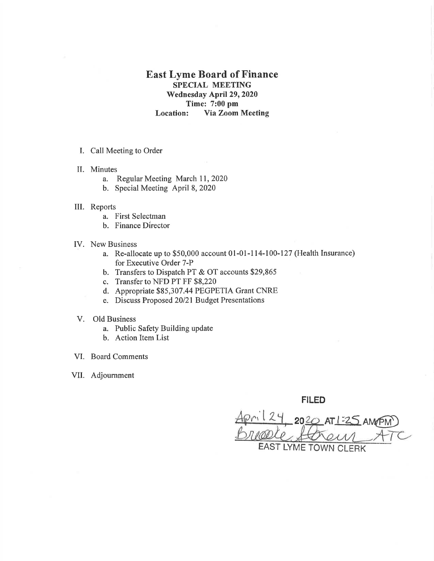## East Lyme Board of Finance SPECIAL MEETING 'Wednesday April 29, 2020 Time: 7:00 pm Location: Via Zoom Meeting

- I. Call Meeting to Order
- II. Minutes
	- a. Regular Meeting March 11, 2020
	- b. Special Meeting April 8, <sup>2020</sup>
- ilI. Reports
	- a. First Selectman
	- b. Finance Director
- IV. New Business
	- a. Re-allocate up to \$50,000 account 01-01-114-l0O-I27 (Health Insurance) for Executive Order 7-P
	- b. Transfers to Dispatch PT & OT accounts \$29,865
	- c. Transfer to NFD PT FF \$8,220
	- d. Appropriate \$85,307.44 PEGPETIA Grant CNRE
	- e. Discuss Proposed 20/21 Budget Presentations
- V. Old Business
	- a. Public Safety Building update
	- b. Action Item List
- VI. Board Comments
- VII. Adjournment

FILED

 $20^{2}$  AT |  $\frac{3}{4}$ EAST LYME TOWN CLERK